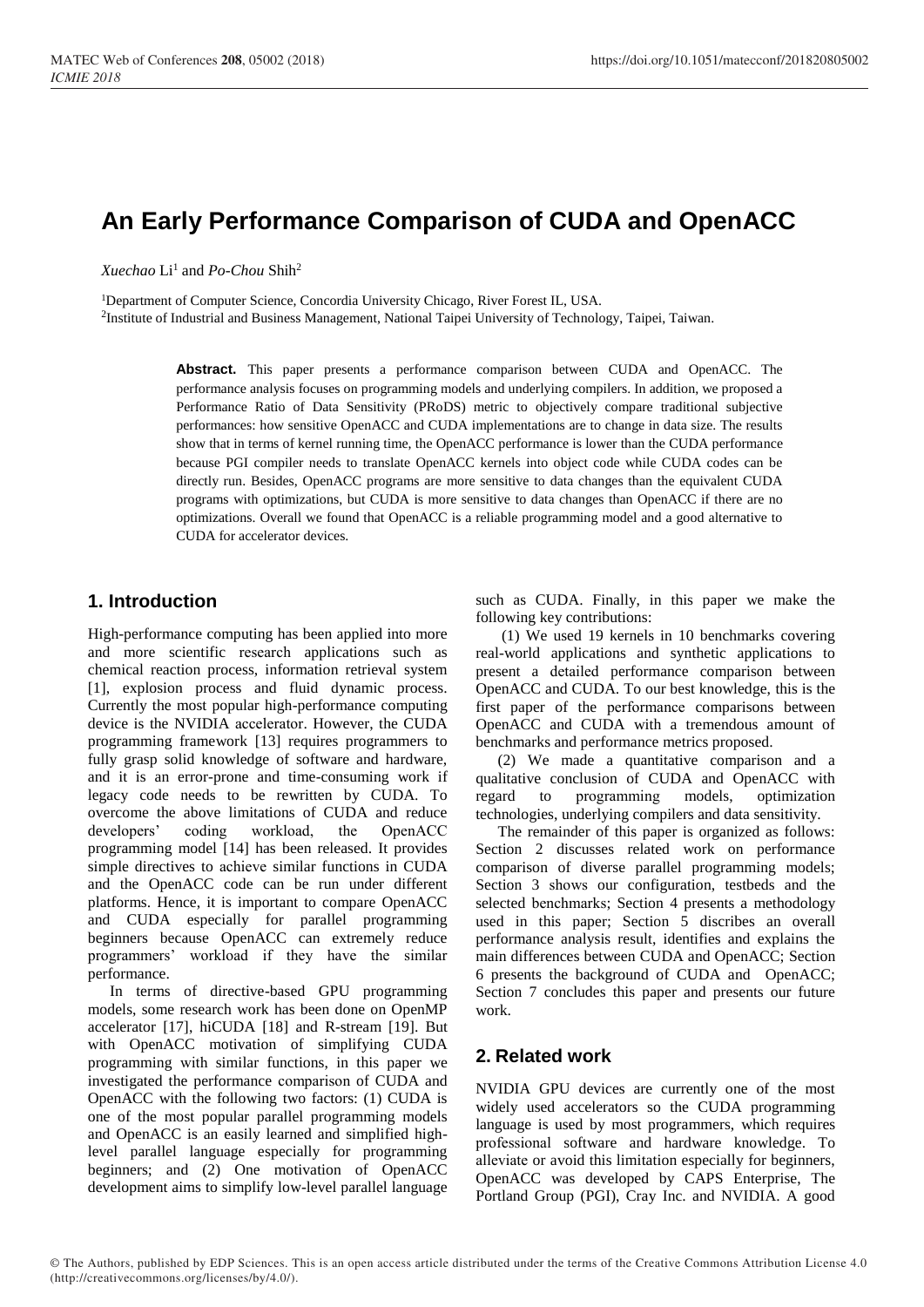# **An Early Performance Comparison of CUDA and OpenACC**

*Xuechao* Li<sup>1</sup> and *Po-Chou* Shih<sup>2</sup>

<sup>1</sup>Department of Computer Science, Concordia University Chicago, River Forest IL, USA. <sup>2</sup>Institute of Industrial and Business Management, National Taipei University of Technology, Taipei, Taiwan.

> **Abstract.** This paper presents a performance comparison between CUDA and OpenACC. The performance analysis focuses on programming models and underlying compilers. In addition, we proposed a Performance Ratio of Data Sensitivity (PRoDS) metric to objectively compare traditional subjective performances: how sensitive OpenACC and CUDA implementations are to change in data size. The results show that in terms of kernel running time, the OpenACC performance is lower than the CUDA performance because PGI compiler needs to translate OpenACC kernels into object code while CUDA codes can be directly run. Besides, OpenACC programs are more sensitive to data changes than the equivalent CUDA programs with optimizations, but CUDA is more sensitive to data changes than OpenACC if there are no optimizations. Overall we found that OpenACC is a reliable programming model and a good alternative to CUDA for accelerator devices.

## **1. Introduction**

High-performance computing has been applied into more and more scientific research applications such as chemical reaction process, information retrieval system [1], explosion process and fluid dynamic process. Currently the most popular high-performance computing device is the NVIDIA accelerator. However, the CUDA programming framework [13] requires programmers to fully grasp solid knowledge of software and hardware, and it is an error-prone and time-consuming work if legacy code needs to be rewritten by CUDA. To overcome the above limitations of CUDA and reduce developers' coding workload, the OpenACC programming model [14] has been released. It provides simple directives to achieve similar functions in CUDA and the OpenACC code can be run under different platforms. Hence, it is important to compare OpenACC and CUDA especially for parallel programming beginners because OpenACC can extremely reduce programmers' workload if they have the similar performance.

In terms of directive-based GPU programming models, some research work has been done on OpenMP accelerator [17], hiCUDA [18] and R-stream [19]. But with OpenACC motivation of simplifying CUDA programming with similar functions, in this paper we investigated the performance comparison of CUDA and OpenACC with the following two factors: (1) CUDA is one of the most popular parallel programming models and OpenACC is an easily learned and simplified highlevel parallel language especially for programming beginners; and (2) One motivation of OpenACC development aims to simplify low-level parallel language such as CUDA. Finally, in this paper we make the following key contributions:

(1) We used 19 kernels in 10 benchmarks covering real-world applications and synthetic applications to present a detailed performance comparison between OpenACC and CUDA. To our best knowledge, this is the first paper of the performance comparisons between OpenACC and CUDA with a tremendous amount of benchmarks and performance metrics proposed.

(2) We made a quantitative comparison and a qualitative conclusion of CUDA and OpenACC with regard to programming models, optimization technologies, underlying compilers and data sensitivity.

The remainder of this paper is organized as follows: Section 2 discusses related work on performance comparison of diverse parallel programming models; Section 3 shows our configuration, testbeds and the selected benchmarks; Section 4 presents a methodology used in this paper; Section 5 discribes an overall performance analysis result, identifies and explains the main differences between CUDA and OpenACC; Section 6 presents the background of CUDA and OpenACC; Section 7 concludes this paper and presents our future work.

### **2. Related work**

NVIDIA GPU devices are currently one of the most widely used accelerators so the CUDA programming language is used by most programmers, which requires professional software and hardware knowledge. To alleviate or avoid this limitation especially for beginners, OpenACC was developed by CAPS Enterprise, The Portland Group (PGI), Cray Inc. and NVIDIA. A good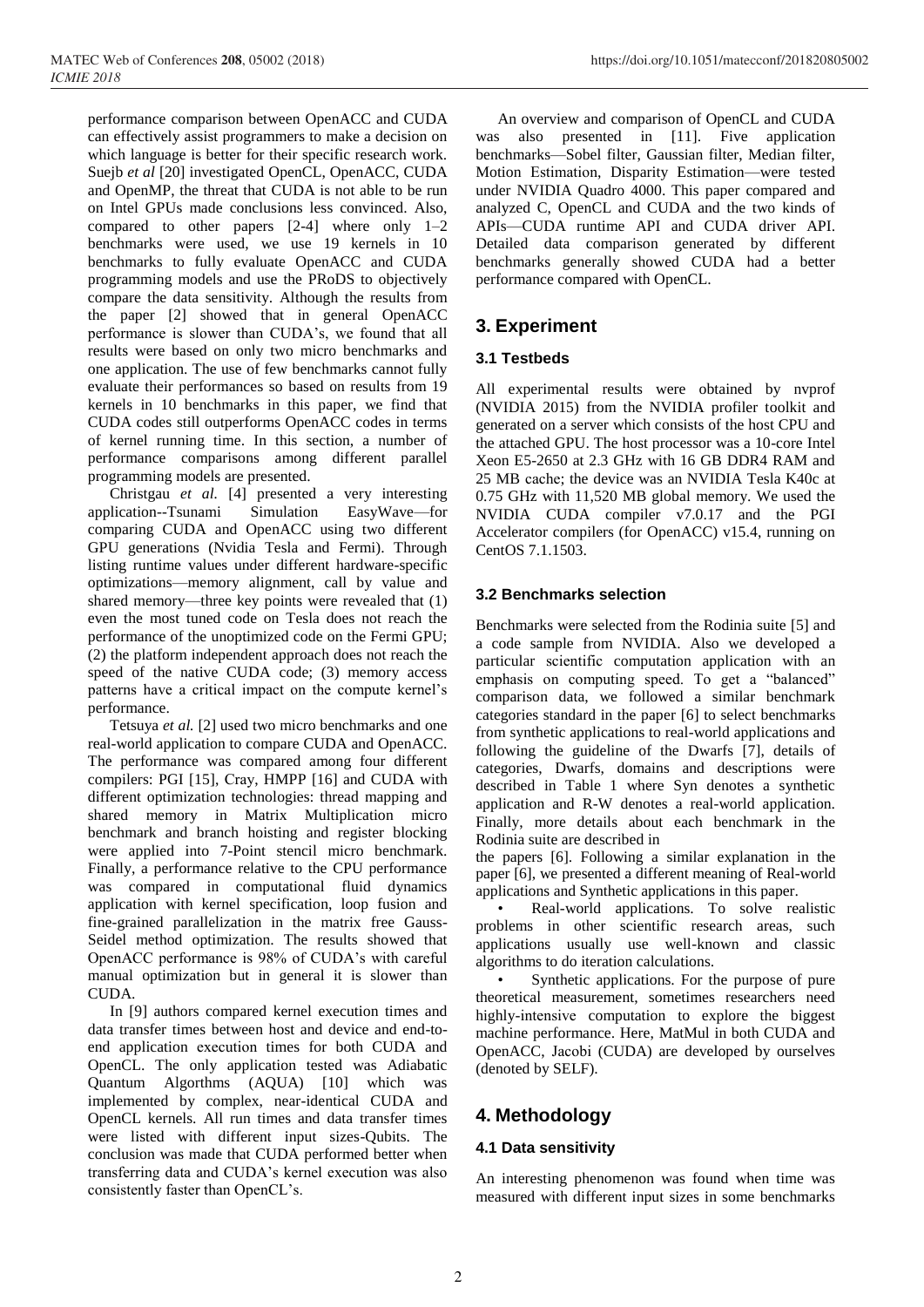performance comparison between OpenACC and CUDA can effectively assist programmers to make a decision on which language is better for their specific research work. Suejb *et al* [20] investigated OpenCL, OpenACC, CUDA and OpenMP, the threat that CUDA is not able to be run on Intel GPUs made conclusions less convinced. Also, compared to other papers [2-4] where only 1–2 benchmarks were used, we use 19 kernels in 10 benchmarks to fully evaluate OpenACC and CUDA programming models and use the PRoDS to objectively compare the data sensitivity. Although the results from the paper [2] showed that in general OpenACC performance is slower than CUDA's, we found that all results were based on only two micro benchmarks and one application. The use of few benchmarks cannot fully evaluate their performances so based on results from 19 kernels in 10 benchmarks in this paper, we find that CUDA codes still outperforms OpenACC codes in terms of kernel running time. In this section, a number of performance comparisons among different parallel programming models are presented.

Christgau *et al.* [4] presented a very interesting application--Tsunami Simulation EasyWave—for comparing CUDA and OpenACC using two different GPU generations (Nvidia Tesla and Fermi). Through listing runtime values under different hardware-specific optimizations—memory alignment, call by value and shared memory—three key points were revealed that (1) even the most tuned code on Tesla does not reach the performance of the unoptimized code on the Fermi GPU; (2) the platform independent approach does not reach the speed of the native CUDA code; (3) memory access patterns have a critical impact on the compute kernel's performance.

Tetsuya *et al.* [2] used two micro benchmarks and one real-world application to compare CUDA and OpenACC. The performance was compared among four different compilers: PGI [15], Cray, HMPP [16] and CUDA with different optimization technologies: thread mapping and shared memory in Matrix Multiplication micro benchmark and branch hoisting and register blocking were applied into 7-Point stencil micro benchmark. Finally, a performance relative to the CPU performance was compared in computational fluid dynamics application with kernel specification, loop fusion and fine-grained parallelization in the matrix free Gauss-Seidel method optimization. The results showed that OpenACC performance is 98% of CUDA's with careful manual optimization but in general it is slower than CUDA.

In [9] authors compared kernel execution times and data transfer times between host and device and end-toend application execution times for both CUDA and OpenCL. The only application tested was Adiabatic Quantum Algorthms (AQUA) [10] which was implemented by complex, near-identical CUDA and OpenCL kernels. All run times and data transfer times were listed with different input sizes-Qubits. The conclusion was made that CUDA performed better when transferring data and CUDA's kernel execution was also consistently faster than OpenCL's.

An overview and comparison of OpenCL and CUDA was also presented in [11]. Five application benchmarks—Sobel filter, Gaussian filter, Median filter, Motion Estimation, Disparity Estimation—were tested under NVIDIA Quadro 4000. This paper compared and analyzed C, OpenCL and CUDA and the two kinds of APIs—CUDA runtime API and CUDA driver API. Detailed data comparison generated by different benchmarks generally showed CUDA had a better performance compared with OpenCL.

# **3. Experiment**

### **3.1 Testbeds**

All experimental results were obtained by nvprof (NVIDIA 2015) from the NVIDIA profiler toolkit and generated on a server which consists of the host CPU and the attached GPU. The host processor was a 10-core Intel Xeon E5-2650 at 2.3 GHz with 16 GB DDR4 RAM and 25 MB cache; the device was an NVIDIA Tesla K40c at 0.75 GHz with 11,520 MB global memory. We used the NVIDIA CUDA compiler v7.0.17 and the PGI Accelerator compilers (for OpenACC) v15.4, running on CentOS 7.1.1503.

### **3.2 Benchmarks selection**

Benchmarks were selected from the Rodinia suite [5] and a code sample from NVIDIA. Also we developed a particular scientific computation application with an emphasis on computing speed. To get a "balanced" comparison data, we followed a similar benchmark categories standard in the paper [6] to select benchmarks from synthetic applications to real-world applications and following the guideline of the Dwarfs [7], details of categories, Dwarfs, domains and descriptions were described in Table 1 where Syn denotes a synthetic application and R-W denotes a real-world application. Finally, more details about each benchmark in the Rodinia suite are described in

the papers [6]. Following a similar explanation in the paper [6], we presented a different meaning of Real-world applications and Synthetic applications in this paper.

Real-world applications. To solve realistic problems in other scientific research areas, such applications usually use well-known and classic algorithms to do iteration calculations.

Synthetic applications. For the purpose of pure theoretical measurement, sometimes researchers need highly-intensive computation to explore the biggest machine performance. Here, MatMul in both CUDA and OpenACC, Jacobi (CUDA) are developed by ourselves (denoted by SELF).

# **4. Methodology**

### **4.1 Data sensitivity**

An interesting phenomenon was found when time was measured with different input sizes in some benchmarks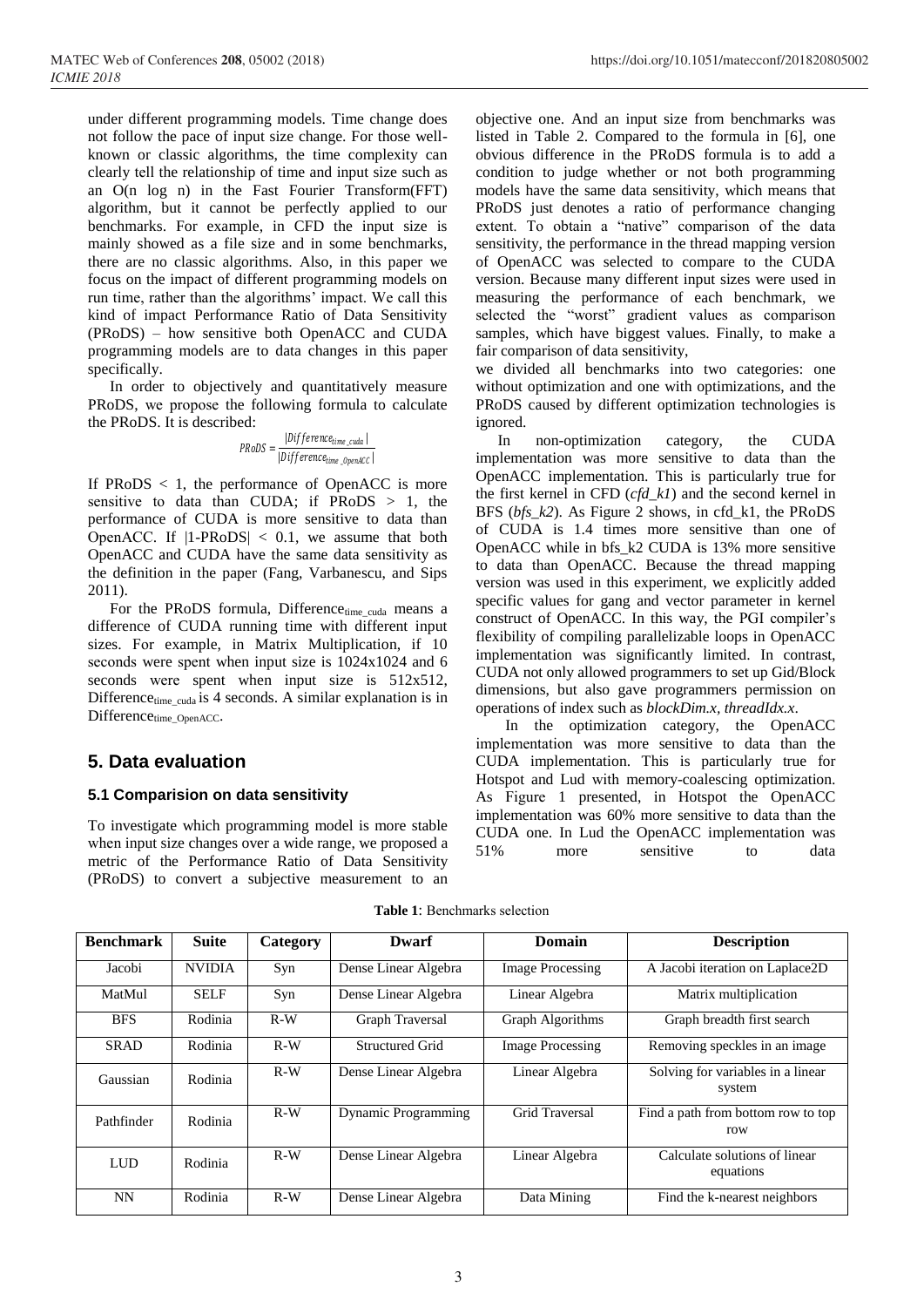under different programming models. Time change does not follow the pace of input size change. For those wellknown or classic algorithms, the time complexity can clearly tell the relationship of time and input size such as an O(n log n) in the Fast Fourier Transform(FFT) algorithm, but it cannot be perfectly applied to our benchmarks. For example, in CFD the input size is mainly showed as a file size and in some benchmarks, there are no classic algorithms. Also, in this paper we focus on the impact of different programming models on run time, rather than the algorithms' impact. We call this kind of impact Performance Ratio of Data Sensitivity (PRoDS) – how sensitive both OpenACC and CUDA programming models are to data changes in this paper specifically.

In order to objectively and quantitatively measure PRoDS, we propose the following formula to calculate the PRoDS. It is described:

$$
PRODS = \frac{|Difference_{time\_cuda}|}{|Difference_{time\_OpenACC}|}
$$

If  $PRODS < 1$ , the performance of OpenACC is more sensitive to data than CUDA; if  $PRODS > 1$ , the performance of CUDA is more sensitive to data than OpenACC. If  $|1-PRODS| < 0.1$ , we assume that both OpenACC and CUDA have the same data sensitivity as the definition in the paper (Fang, Varbanescu, and Sips 2011).

For the PRoDS formula, Difference<sub>time cuda</sub> means a difference of CUDA running time with different input sizes. For example, in Matrix Multiplication, if 10 seconds were spent when input size is 1024x1024 and 6 seconds were spent when input size is  $512x512$ , Difference $_{time \text{ cada}}$  is 4 seconds. A similar explanation is in Difference<sub>time\_OpenACC</sub>.

# **5. Data evaluation**

#### **5.1 Comparision on data sensitivity**

To investigate which programming model is more stable when input size changes over a wide range, we proposed a metric of the Performance Ratio of Data Sensitivity (PRoDS) to convert a subjective measurement to an objective one. And an input size from benchmarks was listed in Table 2. Compared to the formula in [6], one obvious difference in the PRoDS formula is to add a condition to judge whether or not both programming models have the same data sensitivity, which means that PRoDS just denotes a ratio of performance changing extent. To obtain a "native" comparison of the data sensitivity, the performance in the thread mapping version of OpenACC was selected to compare to the CUDA version. Because many different input sizes were used in measuring the performance of each benchmark, we selected the "worst" gradient values as comparison samples, which have biggest values. Finally, to make a fair comparison of data sensitivity,

we divided all benchmarks into two categories: one without optimization and one with optimizations, and the PRoDS caused by different optimization technologies is ignored.

In non-optimization category, the CUDA implementation was more sensitive to data than the OpenACC implementation. This is particularly true for the first kernel in CFD (*cfd\_k1*) and the second kernel in BFS (*bfs\_k2*). As Figure 2 shows, in cfd\_k1, the PRoDS of CUDA is 1.4 times more sensitive than one of OpenACC while in bfs\_k2 CUDA is 13% more sensitive to data than OpenACC. Because the thread mapping version was used in this experiment, we explicitly added specific values for gang and vector parameter in kernel construct of OpenACC. In this way, the PGI compiler's flexibility of compiling parallelizable loops in OpenACC implementation was significantly limited. In contrast, CUDA not only allowed programmers to set up Gid/Block dimensions, but also gave programmers permission on operations of index such as *blockDim.x, threadIdx.x*.

 In the optimization category, the OpenACC implementation was more sensitive to data than the CUDA implementation. This is particularly true for Hotspot and Lud with memory-coalescing optimization. As Figure 1 presented, in Hotspot the OpenACC implementation was 60% more sensitive to data than the CUDA one. In Lud the OpenACC implementation was 51% more sensitive to data

| <b>Benchmark</b> | <b>Suite</b>  | Category | Dwarf                      | Domain                  | <b>Description</b>                          |
|------------------|---------------|----------|----------------------------|-------------------------|---------------------------------------------|
| Jacobi           | <b>NVIDIA</b> | Syn      | Dense Linear Algebra       | <b>Image Processing</b> | A Jacobi iteration on Laplace2D             |
| MatMul           | <b>SELF</b>   | Syn      | Dense Linear Algebra       | Linear Algebra          | Matrix multiplication                       |
| <b>BFS</b>       | Rodinia       | $R-W$    | Graph Traversal            | <b>Graph Algorithms</b> | Graph breadth first search                  |
| <b>SRAD</b>      | Rodinia       | $R-W$    | <b>Structured Grid</b>     | <b>Image Processing</b> | Removing speckles in an image               |
| Gaussian         | Rodinia       | $R-W$    | Dense Linear Algebra       | Linear Algebra          | Solving for variables in a linear<br>system |
| Pathfinder       | Rodinia       | $R-W$    | <b>Dynamic Programming</b> | <b>Grid Traversal</b>   | Find a path from bottom row to top<br>row   |
| <b>LUD</b>       | Rodinia       | $R-W$    | Dense Linear Algebra       | Linear Algebra          | Calculate solutions of linear<br>equations  |
| NN               | Rodinia       | $R-W$    | Dense Linear Algebra       | Data Mining             | Find the k-nearest neighbors                |

**Table 1**: Benchmarks selection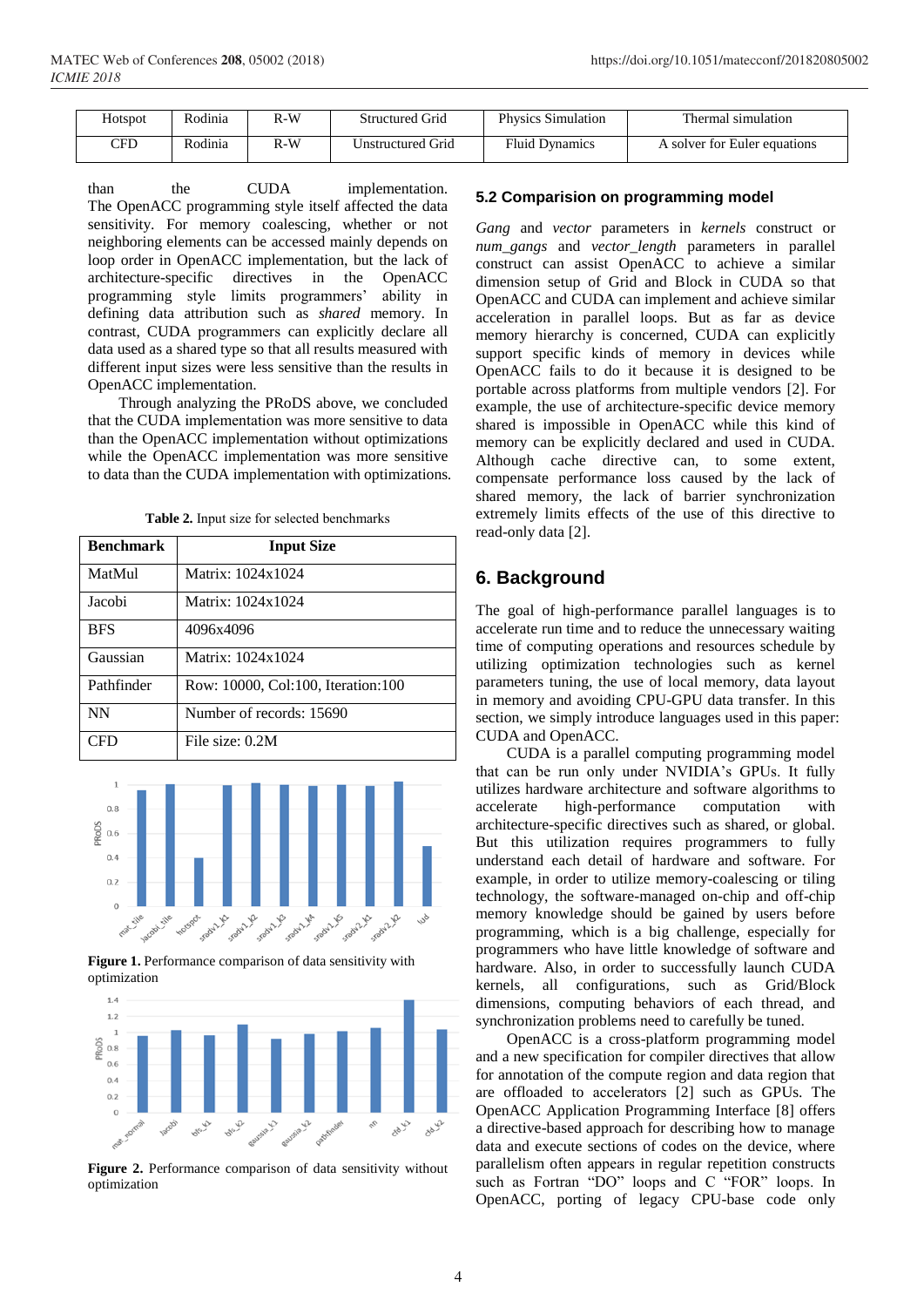| Hotspot | Rodinia | $R-W$ | <b>Structured Grid</b> | <b>Physics Simulation</b> | Thermal simulation           |
|---------|---------|-------|------------------------|---------------------------|------------------------------|
| CFD     | Rodinia | R-W   | Unstructured Grid      | <b>Fluid Dynamics</b>     | A solver for Euler equations |

than the CUDA implementation. The OpenACC programming style itself affected the data sensitivity. For memory coalescing, whether or not neighboring elements can be accessed mainly depends on loop order in OpenACC implementation, but the lack of architecture-specific directives in the OpenACC programming style limits programmers' ability in defining data attribution such as *shared* memory. In contrast, CUDA programmers can explicitly declare all data used as a shared type so that all results measured with different input sizes were less sensitive than the results in OpenACC implementation.

Through analyzing the PRoDS above, we concluded that the CUDA implementation was more sensitive to data than the OpenACC implementation without optimizations while the OpenACC implementation was more sensitive to data than the CUDA implementation with optimizations.

**Table 2.** Input size for selected benchmarks

| <b>Benchmark</b> | <b>Input Size</b>                  |
|------------------|------------------------------------|
| MatMul           | Matrix: 1024x1024                  |
| Jacobi           | Matrix: 1024x1024                  |
| <b>BFS</b>       | 4096x4096                          |
| Gaussian         | Matrix: 1024x1024                  |
| Pathfinder       | Row: 10000, Col:100, Iteration:100 |
| <b>NN</b>        | Number of records: 15690           |
| FD               | File size: 0.2M                    |



**Figure 1.** Performance comparison of data sensitivity with optimization



**Figure 2.** Performance comparison of data sensitivity without optimization

#### **5.2 Comparision on programming model**

*Gang* and *vector* parameters in *kernels* construct or *num\_gangs* and *vector\_length* parameters in parallel construct can assist OpenACC to achieve a similar dimension setup of Grid and Block in CUDA so that OpenACC and CUDA can implement and achieve similar acceleration in parallel loops. But as far as device memory hierarchy is concerned, CUDA can explicitly support specific kinds of memory in devices while OpenACC fails to do it because it is designed to be portable across platforms from multiple vendors [2]. For example, the use of architecture-specific device memory shared is impossible in OpenACC while this kind of memory can be explicitly declared and used in CUDA. Although cache directive can, to some extent, compensate performance loss caused by the lack of shared memory, the lack of barrier synchronization extremely limits effects of the use of this directive to read-only data [2].

### **6. Background**

The goal of high-performance parallel languages is to accelerate run time and to reduce the unnecessary waiting time of computing operations and resources schedule by utilizing optimization technologies such as kernel parameters tuning, the use of local memory, data layout in memory and avoiding CPU-GPU data transfer. In this section, we simply introduce languages used in this paper: CUDA and OpenACC.

CUDA is a parallel computing programming model that can be run only under NVIDIA's GPUs. It fully utilizes hardware architecture and software algorithms to accelerate high-performance computation with architecture-specific directives such as shared, or global. But this utilization requires programmers to fully understand each detail of hardware and software. For example, in order to utilize memory-coalescing or tiling technology, the software-managed on-chip and off-chip memory knowledge should be gained by users before programming, which is a big challenge, especially for programmers who have little knowledge of software and hardware. Also, in order to successfully launch CUDA kernels, all configurations, such as Grid/Block dimensions, computing behaviors of each thread, and synchronization problems need to carefully be tuned.

OpenACC is a cross-platform programming model and a new specification for compiler directives that allow for annotation of the compute region and data region that are offloaded to accelerators [2] such as GPUs. The OpenACC Application Programming Interface [8] offers a directive-based approach for describing how to manage data and execute sections of codes on the device, where parallelism often appears in regular repetition constructs such as Fortran "DO" loops and C "FOR" loops. In OpenACC, porting of legacy CPU-base code only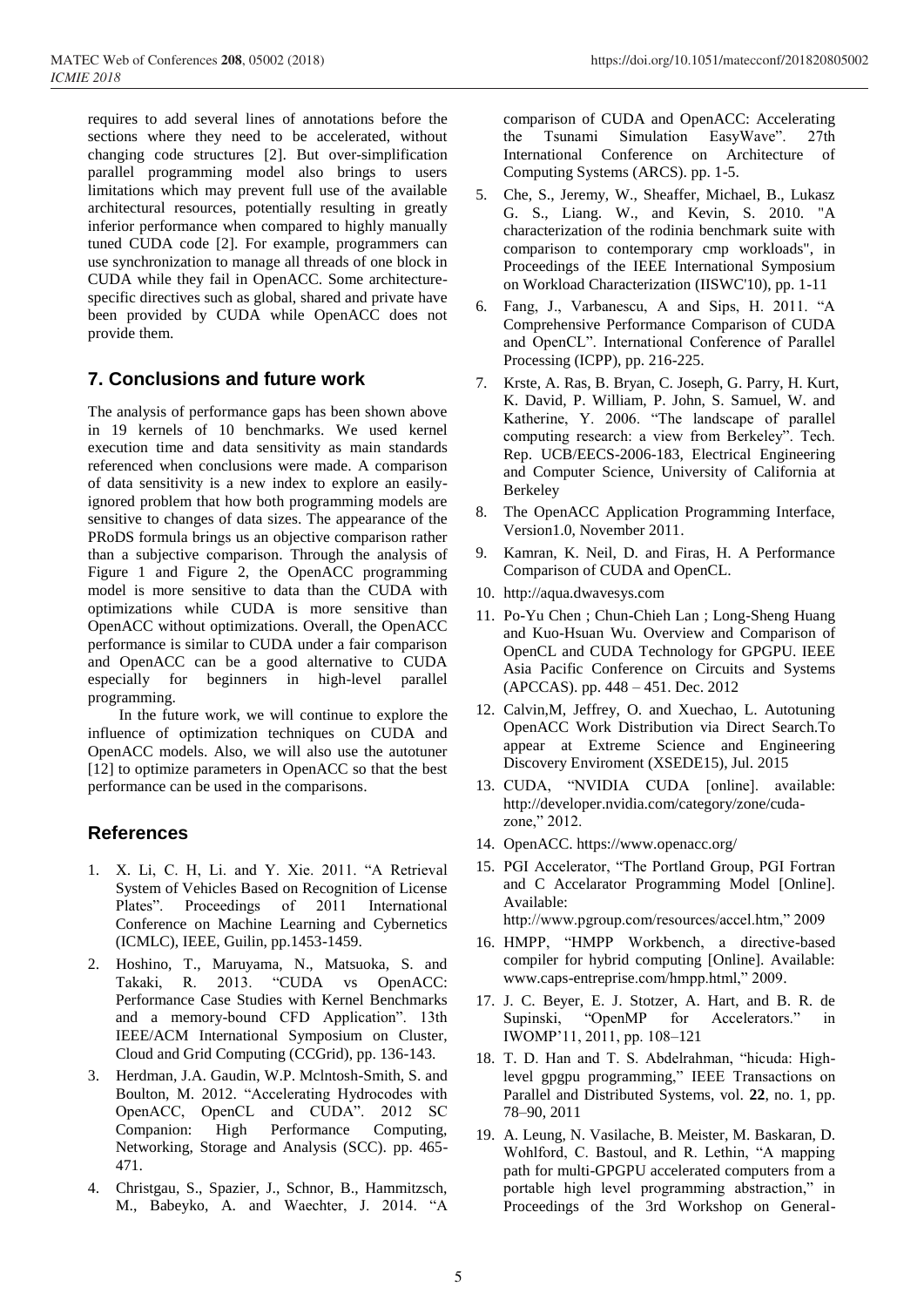requires to add several lines of annotations before the sections where they need to be accelerated, without changing code structures [2]. But over-simplification parallel programming model also brings to users limitations which may prevent full use of the available architectural resources, potentially resulting in greatly inferior performance when compared to highly manually tuned CUDA code [2]. For example, programmers can use synchronization to manage all threads of one block in CUDA while they fail in OpenACC. Some architecturespecific directives such as global, shared and private have been provided by CUDA while OpenACC does not provide them.

# **7. Conclusions and future work**

The analysis of performance gaps has been shown above in 19 kernels of 10 benchmarks. We used kernel execution time and data sensitivity as main standards referenced when conclusions were made. A comparison of data sensitivity is a new index to explore an easilyignored problem that how both programming models are sensitive to changes of data sizes. The appearance of the PRoDS formula brings us an objective comparison rather than a subjective comparison. Through the analysis of Figure 1 and Figure 2, the OpenACC programming model is more sensitive to data than the CUDA with optimizations while CUDA is more sensitive than OpenACC without optimizations. Overall, the OpenACC performance is similar to CUDA under a fair comparison and OpenACC can be a good alternative to CUDA especially for beginners in high-level parallel programming.

In the future work, we will continue to explore the influence of optimization techniques on CUDA and OpenACC models. Also, we will also use the autotuner [12] to optimize parameters in OpenACC so that the best performance can be used in the comparisons.

### **References**

- 1. X. Li, C. H, Li. and Y. Xie. 2011. "A Retrieval System of Vehicles Based on Recognition of License Plates". Proceedings of 2011 International Conference on Machine Learning and Cybernetics (ICMLC), IEEE, Guilin, pp.1453-1459.
- 2. Hoshino, T., Maruyama, N., Matsuoka, S. and Takaki, R. 2013. "CUDA vs OpenACC: Performance Case Studies with Kernel Benchmarks and a memory-bound CFD Application". 13th IEEE/ACM International Symposium on Cluster, Cloud and Grid Computing (CCGrid), pp. 136-143.
- 3. Herdman, J.A. Gaudin, W.P. Mclntosh-Smith, S. and Boulton, M. 2012. "Accelerating Hydrocodes with OpenACC, OpenCL and CUDA". 2012 SC Companion: High Performance Computing, Networking, Storage and Analysis (SCC). pp. 465- 471.
- 4. Christgau, S., Spazier, J., Schnor, B., Hammitzsch, M., Babeyko, A. and Waechter, J. 2014. "A

comparison of CUDA and OpenACC: Accelerating the Tsunami Simulation EasyWave". 27th International Conference on Architecture of Computing Systems (ARCS). pp. 1-5.

- 5. Che, S., Jeremy, W., Sheaffer, Michael, B., Lukasz G. S., Liang. W., and Kevin, S. 2010. "A characterization of the rodinia benchmark suite with comparison to contemporary cmp workloads", in Proceedings of the IEEE International Symposium on Workload Characterization (IISWC'10), pp. 1-11
- 6. Fang, J., Varbanescu, A and Sips, H. 2011. "A Comprehensive Performance Comparison of CUDA and OpenCL". International Conference of Parallel Processing (ICPP), pp. 216-225.
- 7. Krste, A. Ras, B. Bryan, C. Joseph, G. Parry, H. Kurt, K. David, P. William, P. John, S. Samuel, W. and Katherine, Y. 2006. "The landscape of parallel computing research: a view from Berkeley". Tech. Rep. UCB/EECS-2006-183, Electrical Engineering and Computer Science, University of California at Berkeley
- 8. The OpenACC Application Programming Interface, Version1.0, November 2011.
- 9. Kamran, K. Neil, D. and Firas, H. A Performance Comparison of CUDA and OpenCL.
- 10. http://aqua.dwavesys.com
- 11. Po-Yu Chen ; Chun-Chieh Lan ; Long-Sheng Huang and Kuo-Hsuan Wu. Overview and Comparison of OpenCL and CUDA Technology for GPGPU. IEEE Asia Pacific Conference on Circuits and Systems (APCCAS). pp. 448 – 451. Dec. 2012
- 12. Calvin,M, Jeffrey, O. and Xuechao, L. Autotuning OpenACC Work Distribution via Direct Search.To appear at Extreme Science and Engineering Discovery Enviroment (XSEDE15), Jul. 2015
- 13. CUDA, "NVIDIA CUDA [online]. available: http://developer.nvidia.com/category/zone/cudazone," 2012.
- 14. OpenACC. https://www.openacc.org/
- 15. PGI Accelerator, "The Portland Group, PGI Fortran and C Accelarator Programming Model [Online]. Available: http://www.pgroup.com/resources/accel.htm," 2009
- 16. HMPP, "HMPP Workbench, a directive-based compiler for hybrid computing [Online]. Available: www.caps-entreprise.com/hmpp.html," 2009.
- 17. J. C. Beyer, E. J. Stotzer, A. Hart, and B. R. de Supinski, "OpenMP for Accelerators." IWOMP'11, 2011, pp. 108–121
- 18. T. D. Han and T. S. Abdelrahman, "hicuda: Highlevel gpgpu programming," IEEE Transactions on Parallel and Distributed Systems, vol. **22**, no. 1, pp. 78–90, 2011
- 19. A. Leung, N. Vasilache, B. Meister, M. Baskaran, D. Wohlford, C. Bastoul, and R. Lethin, "A mapping path for multi-GPGPU accelerated computers from a portable high level programming abstraction," in Proceedings of the 3rd Workshop on General-